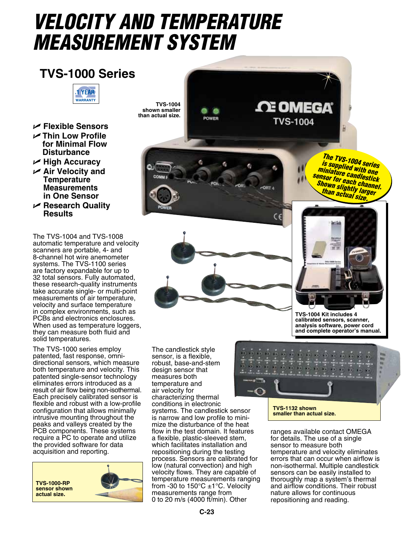# *VELOCITY AND TEMPERATURE MEASUREMENT SYSTEM*

## **TVS-1000 Series**



- U **Flexible Sensors** U **Thin Low Profile for Minimal Flow Disturbance**
- U **High Accuracy**
- U **Air Velocity and Temperature Measurements in One Sensor**
- U **Research Quality Results**

The TVS-1004 and TVS-1008 automatic temperature and velocity scanners are portable, 4- and 8-channel hot wire anemometer systems. The TVS-1100 series are factory expandable for up to 32 total sensors. Fully automated, these research-quality instruments take accurate single- or multi-point measurements of air temperature, velocity and surface temperature in complex environments, such as PCBs and electronics enclosures. When used as temperature loggers, they can measure both fluid and solid temperatures.

The TVS-1000 series employ patented, fast response, omnidirectional sensors, which measure both temperature and velocity. This patented single-sensor technology eliminates errors introduced as a result of air flow being non-isothermal. Each precisely calibrated sensor is flexible and robust with a low-profile configuration that allows minimally intrusive mounting throughout the peaks and valleys created by the PCB components. These systems require a PC to operate and utilize the provided software for data acquisition and reporting.

**TVS-1000-RP sensor shown actual size.**



**TVS-1004 shown smaller than actual size.** POWER

*The TVS-1004 series is supplied with one miniature candlestick sensor for each channel. Shown slightly larger than actual size.*

**CE OMEGA** 

**TVS-1004** 



**OR** 

**ORT 4** 



**TVS-1004 Kit includes 4 calibrated sensors, scanner, analysis software, power cord and complete operator's manual.**

The candlestick style sensor, is a flexible, robust, base-and-stem design sensor that measures both temperature and air velocity for characterizing thermal conditions in electronic systems. The candlestick sensor<br>is narrow and low profile to minimize the disturbance of the heat flow in the test domain. It features a flexible, plastic-sleeved stem, which facilitates installation and repositioning during the testing process. Sensors are calibrated for low (natural convection) and high velocity flows. They are capable of temperature measurements ranging from -30 to 150 $^{\circ}$ C ±1 $^{\circ}$ C. Velocity measurements range from 0 to 20 m/s (4000 ft/min). Other



**TVS-1132 shown smaller than actual size.**

ranges available contact OMEGA for details. The use of a single sensor to measure both temperature and velocity eliminates errors that can occur when airflow is non-isothermal. Multiple candlestick sensors can be easily installed to thoroughly map a system's thermal and airflow conditions. Their robust nature allows for continuous repositioning and reading.